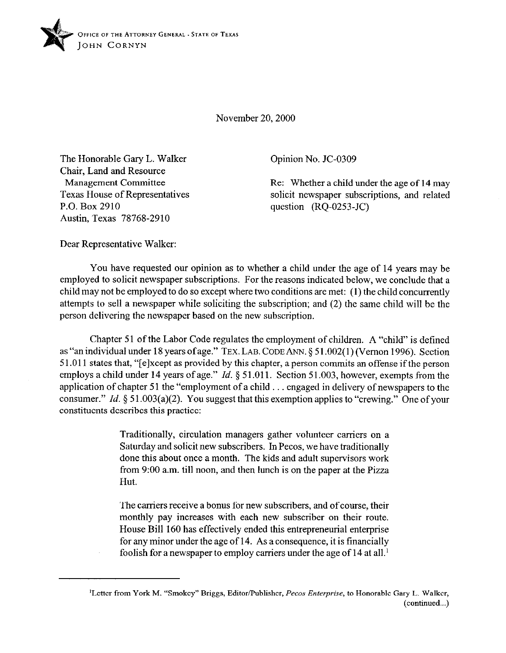

November 20,200O

The Honorable Gary L. Walker Chair, Land and Resource Management Committee Texas House of Representatives P.O. Box 2910 Austin, Texas 78768-2910

Opinion No. JC-0309

Re: Whether a child under the age of 14 may solicit newspaper subscriptions, and related question (RQ-0253-JC)

Dear Representative Walker:

You have requested our opinion as to whether a child under the age of 14 years may be employed to solicit newspaper subscriptions. For the reasons indicated below, we conclude that a child may not be employed to do so except where two conditions are met: (1) the child concurrently attempts to sell a newspaper while soliciting the subscription; and (2) the same child will be the person delivering the newspaper based on the new subscription.

Chapter 51 of the Labor Code regulates the employment of children. A "child" is defined as "an individual under 18 years ofage." TEX. LAB. CODE ANN. § 5 1.002( 1) (Vernon 1996). Section 5 1 ,011 states that, "[elxcept as provided by this chapter, a person commits an offense if the person employs a child under 14 years of age." *Id.* § 51.011. Section 51.003, however, exempts from the application of chapter 51 the "employment of a child  $\ldots$  engaged in delivery of newspapers to the consumer." *Id.* § 51.003(a)(2). You suggest that this exemption applies to "crewing." One of your constituents describes this practice:

> Traditionally, circulation managers gather volunteer carriers on a Saturday and solicit new subscribers. In Pecos, we have traditionally done this about once a month. The kids and adult supervisors work from 9:00 a.m. till noon, and then lunch is on the paper at the Pizza Hut.

> The carriers receive a bonus for new subscribers, and of course, their monthly pay increases with each new subscriber on their route. House Bill 160 has effectively ended this entrepreneurial enterprise for any minor under the age of 14. As a consequence, it is financially foolish for a newspaper to employ carriers under the age of 14 at all.'

<sup>&</sup>lt;sup>1</sup>Letter from York M. "Smokey" Briggs, Editor/Publisher, *Pecos Enterprise*, to Honorable Gary L. Walker, (continued...)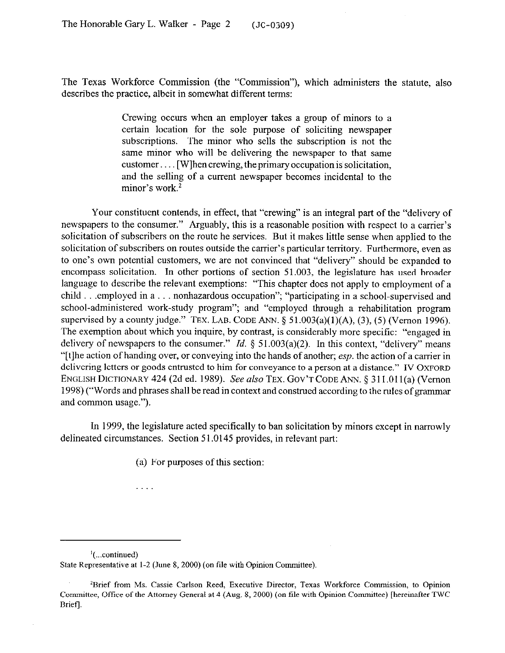The Texas Workforce Commission (the "Commission"), which administers the statute, also describes the practice, albeit in somewhat different terms:

> Crewing occurs when an employer takes a group of minors to a certain location for the sole purpose of soliciting newspaper subscriptions. The minor who sells the subscription is not the same minor who will be delivering the newspaper to that same customer.... [W]hen crewing, the primary occupation is solicitation, and the selling of a current newspaper becomes incidental to the minor's work. $2$

Your constituent contends, in effect, that "crewing" is an integral part of the "delivery of newspapers to the consumer." Arguably, this is a reasonable position with respect to a carrier's solicitation of subscribers on the route he services. But it makes little sense when applied to the solicitation of subscribers on routes outside the carrier's particular territory. Furthermore, even as to one's own potential customers, we are not convinced that "delivery" should be expanded to encompass solicitation. In other portions of section 51.003, the legislature has used broader language to describe the relevant exemptions: "This chapter does not apply to employment of a child  $\ldots$  employed in a  $\ldots$  nonhazardous occupation"; "participating in a school-supervised and school-administered work-study program"; and "employed through a rehabilitation program supervised by a county judge." TEX. LAB. CODE ANN.  $\S$  51.003(a)(1)(A), (3), (5) (Vernon 1996). The exemption about which you inquire, by contrast, is considerably more specific: "engaged in delivery of newspapers to the consumer." *Id.* § 51.003(a)(2). In this context, "delivery" means "[t]he action of handing over, or conveying into the hands of another; esp. the action of a carrier in delivering letters or goods entrusted to him for conveyance to a person at a distance." IV OXFORD ENGLISH DICTIONARY 424 (2d ed. 1989). See also TEX. GOV'T CODE ANN. § 311.011(a) (Vernon 1998) ("Words and phrases shall be read in context and construed according to the rules of grammar and common usage.").

In 1999, the legislature acted specifically to ban solicitation by minors except in narrowly delineated circumstances. Section 51.0145 provides, in relevant part:

(a) For purposes of this section:

 $\left( \dots$ continued) State Representative at 1-2 (June 8, 2000) (on file with Opinion Committee).

. . . .

<sup>&#</sup>x27;Brief from Ms. Cassie Carlson Reed, Executive Director, Texas Workforce Commission, to Opinion Committee, Office of the Attorney General at 4 (Aug. 8, 2000) (on file with Opinion Committee) [hereinafter TWC Brief].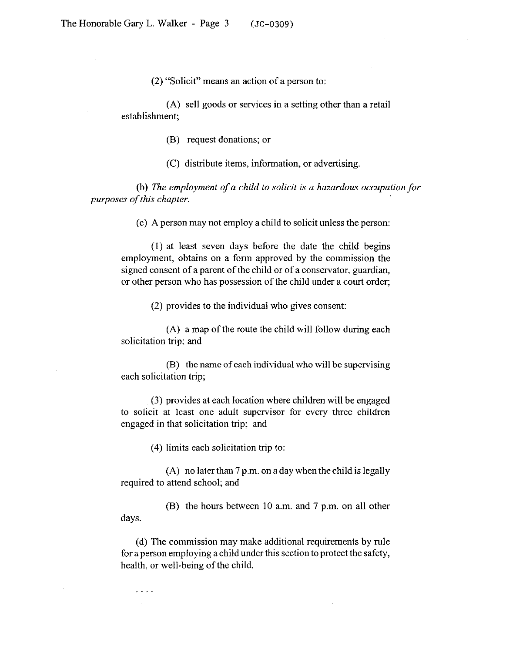(2) "Solicit" means an action of a person to:

(A) sell goods or services in a setting other than a retail establishment;

(B) request donations; or

(C) distribute items, information, or advertising.

(b) *The employment of a child to solicit is a hazardous occupation for purposes of this chapter.* 

(c) A person may not employ a child to solicit unless the person:

(1) at least seven days before the date the child begins employment, obtains on a form approved by the commission the signed consent of a parent of the child or of a conservator, guardian, or other person who has possession of the child under a court order;

(2) provides to the individual who gives consent:

(A) a map of the route the child will follow during each solicitation trip; and

(B) the name of each individual who will be supervising each solicitation trip;

(3) provides at each location where children will be engaged to solicit at least one adult supervisor for every three children engaged in that solicitation trip; and

(4) limits each solicitation trip to:

 $\cdots$ 

(A) no later than 7 p.m. on a day when the child is legally required to attend school; and

days. (B) the hours between 10 a.m. and 7 p.m. on all other

(d) The commission may make additional requirements by rule for aperson employing a child under this section to protect the safety, health, or well-being of the child.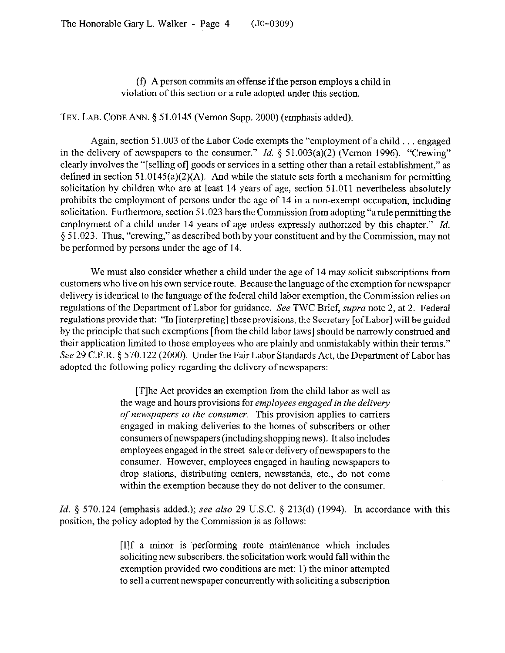(f) A person commits an offense if the person employs a child in violation of this section or a rule adopted under this section.

TEX. LAB. CODE ANN. § 51.0145 (Vernon Supp. 2000) (emphasis added).

Again, section 51.003 of the Labor Code exempts the "employment of a child  $\ldots$  engaged in the delivery of newspapers to the consumer." *Id.*  $\S$  51.003(a)(2) (Vernon 1996). "Crewing" clearly involves the "[selling of] goods or services in a setting other than a retail establishment," as defined in section  $51.0145(a)(2)(A)$ . And while the statute sets forth a mechanism for permitting solicitation by children who are at least 14 years of age, section 51.011 nevertheless absolutely prohibits the employment of persons under the age of 14 in a non-exempt occupation, including solicitation. Furthermore, section  $51.023$  bars the Commission from adopting "a rule permitting the employment of a child under 14 years of age unless expressly authorized by this chapter." *Id.*  5 51.023. Thus, "crewing," as described both by your constituent and by the Commission, may not be performed by persons under the age of 14.

We must also consider whether a child under the age of 14 may solicit subscriptions from customers who live on his own service route. Because the language of the exemption for newspaper delivery is identical to the language of the federal child labor exemption, the Commission relies on regulations of the Department of Labor for guidance. See TWC Brief, *supra* note 2, at 2. Federal regulations provide that: "In [interpreting] these provisions, the Secretary [ofLabor] will be guided by the principle that such exemptions [from the child labor laws] should be narrowly construed and their application limited to those employees who are plainly and unmistakably within their terms." See 29 C.F.R. § 570.122 (2000). Under the Fair Labor Standards Act, the Department of Labor has adopted the following policy regarding the delivery of newspapers:

> [T]he Act provides an exemption from the child labor as well as the wage and hours provisions for *employees engaged in the delivery of newspapers to the consumer.* This provision applies to carriers engaged in making deliveries to the homes of subscribers or other consumers ofnewspapers (including shopping news). It also includes employees engaged in the street sale or delivery ofnewspapers to the consumer. However, employees engaged in hauling newspapers to drop stations, distributing centers, newsstands, etc., do not come within the exemption because they do not deliver to the consumer.

*Id.* § 570.124 (emphasis added.); see also 29 U.S.C. § 213(d) (1994). In accordance with this position, the policy adopted by the Commission is as follows:

> [I]f a minor is 'performing route maintenance which includes soliciting new subscribers, the solicitation work would fall within the exemption provided two conditions are met: 1) the minor attempted to sell a current newspaper concurrently with soliciting a subscription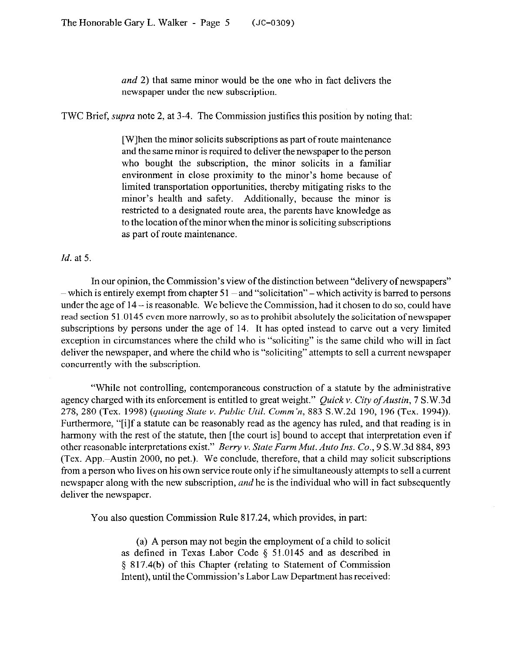*and* 2) that same minor would be the one who in fact delivers the newspaper under the new subscription.

TWC Brief, *supra* note 2, at 3-4. The Commission justifies this position by noting that:

[W]hen the minor solicits subscriptions as part of route maintenance and the same minor is required to deliver the newspaper to the person who bought the subscription, the minor solicits in a familiar environment in close proximity to the minor's home because of limited transportation opportunities, thereby mitigating risks to the minor's health and safety. Additionally, because the minor is restricted to a designated route area, the parents have knowledge as to the location ofthe minor when the minor is soliciting subscriptions as part of route maintenance.

*Id.* at 5.

In our opinion, the Commission's view of the distinction between "delivery of newspapers"  $-$  which is entirely exempt from chapter 51  $-$  and "solicitation"  $-$  which activity is barred to persons under the age of  $14 - i$ s reasonable. We believe the Commission, had it chosen to do so, could have read section 51.0145 even more narrowly, so as to prohibit absolutely the solicitation of newspaper subscriptions by persons under the age of 14. It has opted instead to carve out a very limited exception in circumstances where the child who is "soliciting" is the same child who will in fact deliver the newspaper, and where the child who is "soliciting" attempts to sell a current newspaper concurrently with the subscription.

"While not controlling, contemporaneous construction of a statute by the administrative agency charged with its enforcement is entitled to great weight." *Quick v. City of Austin*, 7 S.W.3d *278, 280* (Tex. 1998) *(quoting State v. Public Util. Comm'n, 883* S.W.2d 190, 196 (Tex. 1994)). Furthermore, "[i]f a statute can be reasonably read as the agency has ruled, and that reading is in harmony with the rest of the statute, then [the court is] bound to accept that interpretation even if other reasonable interpretations exist." *Bemy v. State Farm Mut. Auto Ins. Co., 9* S.W.3d 884, 893 (Tex. App.-Austin 2000, no pet.). We conclude, therefore, that a child may solicit subscriptions from a person who lives on his own service route only ifhe simultaneously attempts to sell a current newspaper along with the new subscription, *and* he is the individual who will in fact subsequently deliver the newspaper.

You also question Commission Rule 817.24, which provides, in part:

(a) A person may not begin the employment of a child to solicit as defined in Texas Labor Code  $\S$  51.0145 and as described in 3 817.4(b) of this Chapter (relating to Statement of Commission Intent), until the Commission's Labor Law Department has received: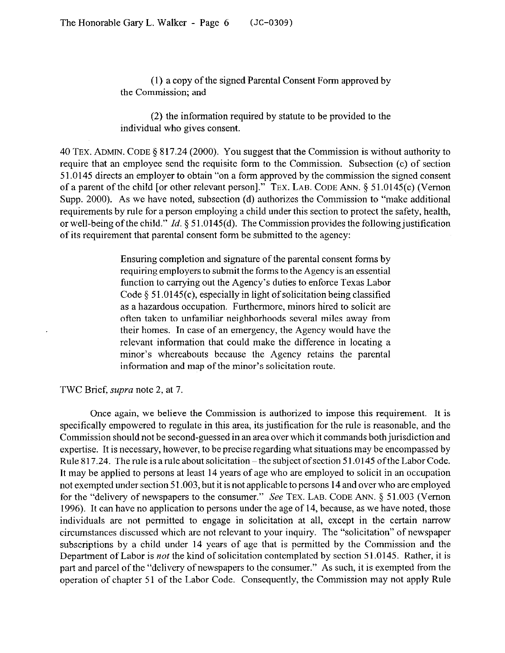(1) a copy of the signed Parental Consent Form approved by the Commission: and

(2) the information required by statute to be provided to the individual who gives consent.

40 TEX. ADMIN. CODE § 817.24 (2000). You suggest that the Commission is without authority to require that an employee send the requisite form to the Commission. Subsection (c) of section 51.0145 directs an employer to obtain "on a form approved by the commission the signed consent of a parent of the child [or other relevant person]." TEX. LAB. CODE ANN. 5 51.0145(c) (Vernon Supp. 2000). As we have noted, subsection (d) authorizes the Commission to "make additional requirements by rule for a person employing a child under this section to protect the safety, health, or well-being of the child." *Id.* § 51.0145(d). The Commission provides the following justification of its requirement that parental consent form be submitted to the agency:

> Ensuring completion and signature of the parental consent forms by requiring employers to submit the forms to the Agency is an essential function to carrying out the Agency's duties to enforce Texas Labor Code  $\S$  51.0145(c), especially in light of solicitation being classified as a hazardous occupation. Furthermore, minors hired to solicit are often taken to unfamiliar neighborhoods several miles away from their homes. In case of an emergency, the Agency would have the relevant information that could make the difference in locating a minor's whereabouts because the Agency retains the parental information and map of the minor's solicitation route.

## TWC Brief, supra note 2, at 7.

Once again, we believe the Commission is authorized to impose this requirement. It is specifically empowered to regulate in this area, its justification for the rule is reasonable, and the Commission should not be second-guessed in an area over which it commands both jurisdiction and expertise. It is necessary, however, to be precise regarding what situations may be encompassed by Rule 817.24. The rule is a rule about solicitation – the subject of section 51.0145 of the Labor Code. It may be applied to persons at least 14 years of age who are employed to solicit in an occupation not exempted under section 51.003, but it is not applicable to persons 14 and over who are employed for the "delivery of newspapers to the consumer." See TEX. LAB. CODE ANN. § 51.003 (Vernon 1996). It can have no application to persons under the age of 14, because, as we have noted, those individuals are not permitted to engage in solicitation at all, except in the certain narrow circumstances discussed which are not relevant to your inquiry. The "solicitation" of newspaper subscriptions by a child under 14 years of age that is permitted by the Commission and the Department of Labor is not the kind of solicitation contemplated by section 51.0145. Rather, it is part and parcel of the "delivery of newspapers to the consumer." As such, it is exempted from the operation of chapter 51 of the Labor Code. Consequently, the Commission may not apply Rule